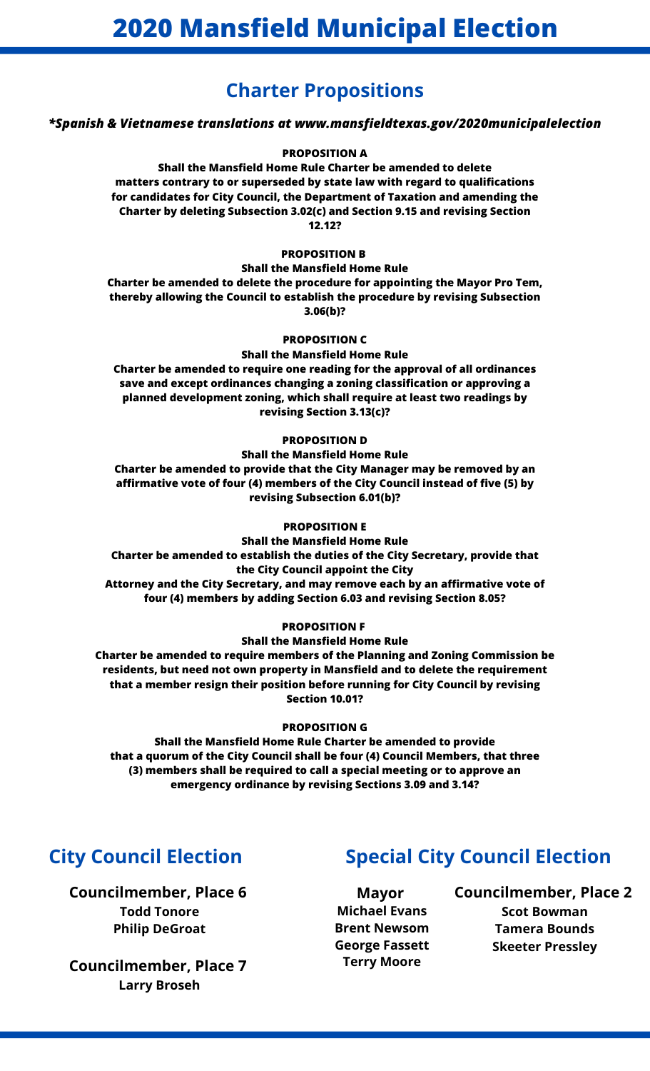# **Charter Propositions**

## *\*Spanish & Vietnamese translations at www.mansfieldtexas.gov/2020municipalelection*

## **PROPOSITION A**

**Shall the Mansfield Home Rule Charter be amended to delete matters contrary to or superseded by state law with regard to qualifications for candidates for City Council, the Department of Taxation and amending the Charter by deleting Subsection 3.02(c) and Section 9.15 and revising Section 12.12?**

### **PROPOSITION B**

### **Shall the Mansfield Home Rule**

**Charter be amended to delete the procedure for appointing the Mayor Pro Tem, thereby allowing the Council to establish the procedure by revising Subsection 3.06(b)?**

### **PROPOSITION C**

## **Shall the Mansfield Home Rule**

**Charter be amended to require one reading for the approval of all ordinances save and except ordinances changing a zoning classification or approving a planned development zoning, which shall require at least two readings by revising Section 3.13(c)?**

## **PROPOSITION D**

## **Shall the Mansfield Home Rule Charter be amended to provide that the City Manager may be removed by an affirmative vote of four (4) members of the City Council instead of five (5) by revising Subsection 6.01(b)?**

### **PROPOSITION E**

**Shall the Mansfield Home Rule Charter be amended to establish the duties of the City Secretary, provide that the City Council appoint the City Attorney and the City Secretary, and may remove each by an affirmative vote of four (4) members by adding Section 6.03 and revising Section 8.05?**

## **PROPOSITION F**

# **Shall the Mansfield Home Rule**

**Charter be amended to require members of the Planning and Zoning Commission be residents, but need not own property in Mansfield and to delete the requirement that a member resign their position before running for City Council by revising Section 10.01?**

## **PROPOSITION G**

**Shall the Mansfield Home Rule Charter be amended to provide that a quorum of the City Council shall be four (4) Council Members, that three (3) members shall be required to call a special meeting or to approve an emergency ordinance by revising Sections 3.09 and 3.14?**

**Councilmember, Place 6 Todd Tonore Philip DeGroat**

**Councilmember, Place 7 Larry Broseh**

# **City Council Election Special City Council Election**

**Mayor Michael Evans Brent Newsom George Fassett Terry Moore**

**Councilmember, Place 2 Scot Bowman Tamera Bounds Skeeter Pressley**